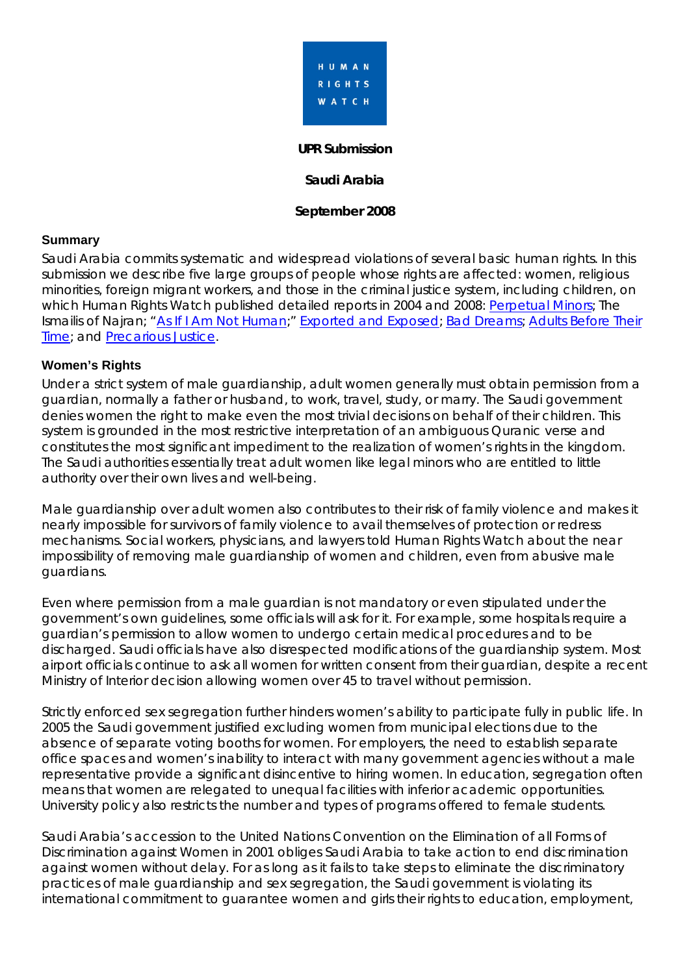

#### **UPR Submission**

**Saudi Arabia** 

#### **September 2008**

### **Summary**

Saudi Arabia commits systematic and widespread violations of several basic human rights. In this submission we describe five large groups of people whose rights are affected: women, religious minorities, foreign migrant workers, and those in the criminal justice system, including children, on which Human Rights Watch published detailed reports in 2004 and 2008: [Perpetual Minors](http://hrw.org/reports/2008/saudiarabia0408/); The Ismailis of Najran; ["As If I Am Not Human](http://hrw.org/reports/2008/saudiarabia0708/);" [Exported and Exposed](http://hrw.org/reports/2007/srilanka1107/); [Bad Dreams](http://hrw.org/reports/2004/saudi0704/); Adults Before Their [Time](http://hrw.org/reports/2008/saudicrd0308/); and [Precarious Justice](http://hrw.org/reports/2008/saudijustice0308/).

#### **Women's Rights**

Under a strict system of male guardianship, adult women generally must obtain permission from a guardian, normally a father or husband, to work, travel, study, or marry. The Saudi government denies women the right to make even the most trivial decisions on behalf of their children. This system is grounded in the most restrictive interpretation of an ambiguous Quranic verse and constitutes the most significant impediment to the realization of women's rights in the kingdom. The Saudi authorities essentially treat adult women like legal minors who are entitled to little authority over their own lives and well-being.

Male guardianship over adult women also contributes to their risk of family violence and makes it nearly impossible for survivors of family violence to avail themselves of protection or redress mechanisms. Social workers, physicians, and lawyers told Human Rights Watch about the near impossibility of removing male guardianship of women and children, even from abusive male guardians.

Even where permission from a male guardian is not mandatory or even stipulated under the government's own guidelines, some officials will ask for it. For example, some hospitals require a guardian's permission to allow women to undergo certain medical procedures and to be discharged. Saudi officials have also disrespected modifications of the guardianship system. Most airport officials continue to ask all women for written consent from their guardian, despite a recent Ministry of Interior decision allowing women over 45 to travel without permission.

Strictly enforced sex segregation further hinders women's ability to participate fully in public life. In 2005 the Saudi government justified excluding women from municipal elections due to the absence of separate voting booths for women. For employers, the need to establish separate office spaces and women's inability to interact with many government agencies without a male representative provide a significant disincentive to hiring women. In education, segregation often means that women are relegated to unequal facilities with inferior academic opportunities. University policy also restricts the number and types of programs offered to female students.

Saudi Arabia's accession to the United Nations Convention on the Elimination of all Forms of Discrimination against Women in 2001 obliges Saudi Arabia to take action to end discrimination against women without delay. For as long as it fails to take steps to eliminate the discriminatory practices of male guardianship and sex segregation, the Saudi government is violating its international commitment to guarantee women and girls their rights to education, employment,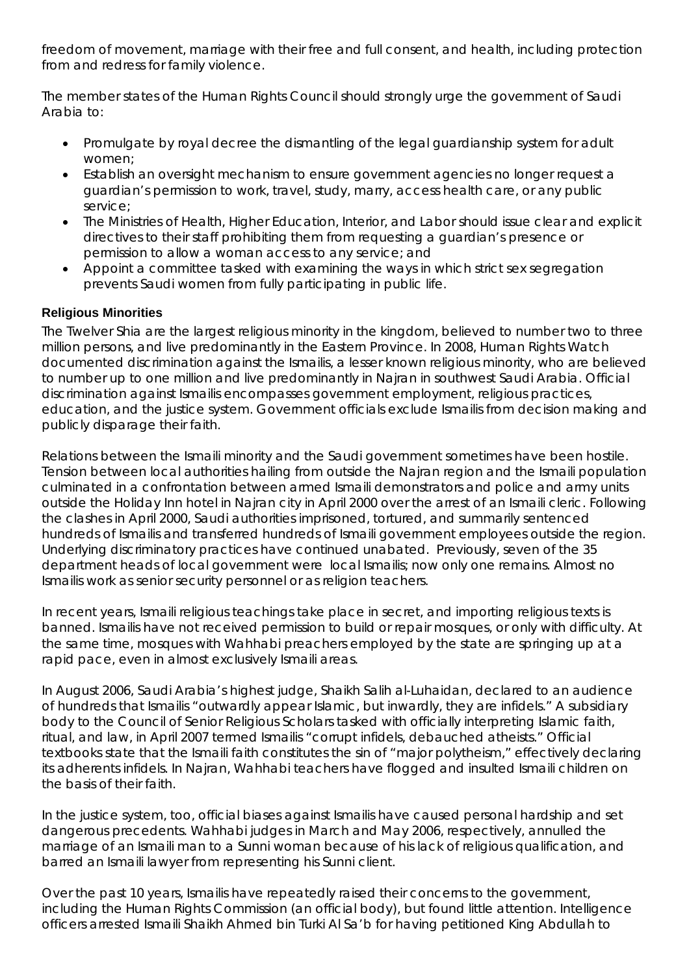freedom of movement, marriage with their free and full consent, and health, including protection from and redress for family violence.

The member states of the Human Rights Council should strongly urge the government of Saudi Arabia to:

- Promulgate by royal decree the dismantling of the legal guardianship system for adult women;
- Establish an oversight mechanism to ensure government agencies no longer request a guardian's permission to work, travel, study, marry, access health care, or any public service;
- The Ministries of Health, Higher Education, Interior, and Labor should issue clear and explicit directives to their staff prohibiting them from requesting a guardian's presence or permission to allow a woman access to any service; and
- Appoint a committee tasked with examining the ways in which strict sex segregation prevents Saudi women from fully participating in public life.

# **Religious Minorities**

The Twelver Shia are the largest religious minority in the kingdom, believed to number two to three million persons, and live predominantly in the Eastern Province. In 2008, Human Rights Watch documented discrimination against the Ismailis, a lesser known religious minority, who are believed to number up to one million and live predominantly in Najran in southwest Saudi Arabia. Official discrimination against Ismailis encompasses government employment, religious practices, education, and the justice system. Government officials exclude Ismailis from decision making and publicly disparage their faith.

Relations between the Ismaili minority and the Saudi government sometimes have been hostile. Tension between local authorities hailing from outside the Najran region and the Ismaili population culminated in a confrontation between armed Ismaili demonstrators and police and army units outside the Holiday Inn hotel in Najran city in April 2000 over the arrest of an Ismaili cleric. Following the clashes in April 2000, Saudi authorities imprisoned, tortured, and summarily sentenced hundreds of Ismailis and transferred hundreds of Ismaili government employees outside the region. Underlying discriminatory practices have continued unabated. Previously, seven of the 35 department heads of local government were local Ismailis; now only one remains. Almost no Ismailis work as senior security personnel or as religion teachers.

In recent years, Ismaili religious teachings take place in secret, and importing religious texts is banned. Ismailis have not received permission to build or repair mosques, or only with difficulty. At the same time, mosques with Wahhabi preachers employed by the state are springing up at a rapid pace, even in almost exclusively Ismaili areas.

In August 2006, Saudi Arabia's highest judge, Shaikh Salih al-Luhaidan, declared to an audience of hundreds that Ismailis "outwardly appear Islamic, but inwardly, they are infidels." A subsidiary body to the Council of Senior Religious Scholars tasked with officially interpreting Islamic faith, ritual, and law, in April 2007 termed Ismailis "corrupt infidels, debauched atheists." Official textbooks state that the Ismaili faith constitutes the sin of "major polytheism," effectively declaring its adherents infidels. In Najran, Wahhabi teachers have flogged and insulted Ismaili children on the basis of their faith.

In the justice system, too, official biases against Ismailis have caused personal hardship and set dangerous precedents. Wahhabi judges in March and May 2006, respectively, annulled the marriage of an Ismaili man to a Sunni woman because of his lack of religious qualification, and barred an Ismaili lawyer from representing his Sunni client.

Over the past 10 years, Ismailis have repeatedly raised their concerns to the government, including the Human Rights Commission (an official body), but found little attention. Intelligence officers arrested Ismaili Shaikh Ahmed bin Turki Al Sa'b for having petitioned King Abdullah to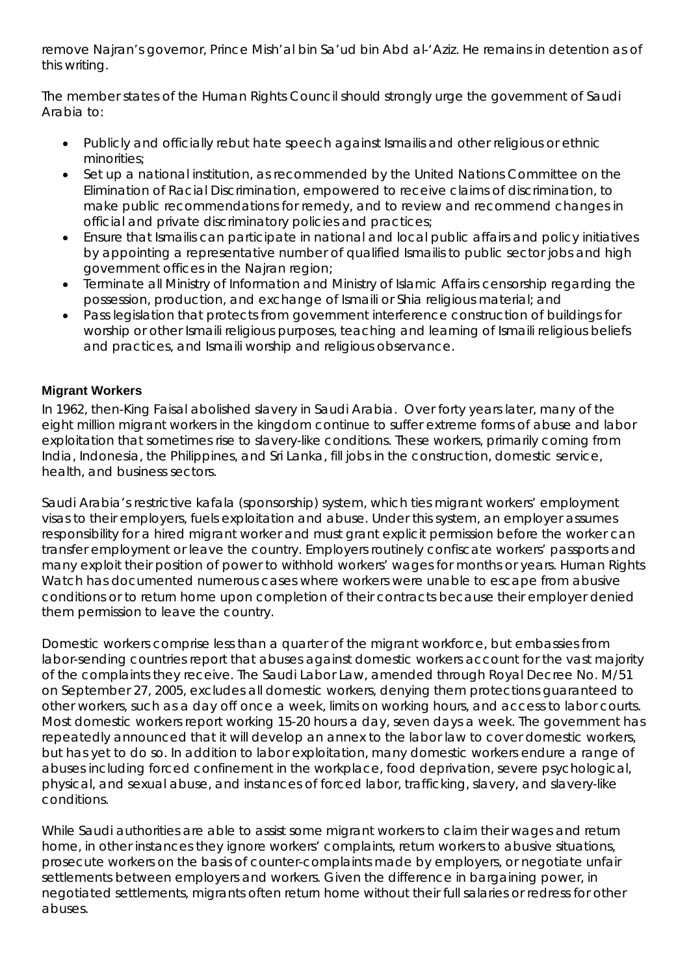remove Najran's governor, Prince Mish'al bin Sa'ud bin Abd al-'Aziz. He remains in detention as of this writing.

The member states of the Human Rights Council should strongly urge the government of Saudi Arabia to:

- Publicly and officially rebut hate speech against Ismailis and other religious or ethnic minorities;
- Set up a national institution, as recommended by the United Nations Committee on the Elimination of Racial Discrimination, empowered to receive claims of discrimination, to make public recommendations for remedy, and to review and recommend changes in official and private discriminatory policies and practices;
- Ensure that Ismailis can participate in national and local public affairs and policy initiatives by appointing a representative number of qualified Ismailis to public sector jobs and high government offices in the Najran region;
- Terminate all Ministry of Information and Ministry of Islamic Affairs censorship regarding the possession, production, and exchange of Ismaili or Shia religious material; and
- Pass legislation that protects from government interference construction of buildings for worship or other Ismaili religious purposes, teaching and learning of Ismaili religious beliefs and practices, and Ismaili worship and religious observance.

# **Migrant Workers**

In 1962, then-King Faisal abolished slavery in Saudi Arabia. Over forty years later, many of the eight million migrant workers in the kingdom continue to suffer extreme forms of abuse and labor exploitation that sometimes rise to slavery-like conditions. These workers, primarily coming from India, Indonesia, the Philippines, and Sri Lanka, fill jobs in the construction, domestic service, health, and business sectors.

Saudi Arabia's restrictive *kafala* (sponsorship) system, which ties migrant workers' employment visas to their employers, fuels exploitation and abuse. Under this system, an employer assumes responsibility for a hired migrant worker and must grant explicit permission before the worker can transfer employment or leave the country. Employers routinely confiscate workers' passports and many exploit their position of power to withhold workers' wages for months or years. Human Rights Watch has documented numerous cases where workers were unable to escape from abusive conditions or to return home upon completion of their contracts because their employer denied them permission to leave the country.

Domestic workers comprise less than a quarter of the migrant workforce, but embassies from labor-sending countries report that abuses against domestic workers account for the vast majority of the complaints they receive. The Saudi Labor Law, amended through Royal Decree No. M/51 on September 27, 2005, excludes all domestic workers, denying them protections guaranteed to other workers, such as a day off once a week, limits on working hours, and access to labor courts. Most domestic workers report working 15-20 hours a day, seven days a week. The government has repeatedly announced that it will develop an annex to the labor law to cover domestic workers, but has yet to do so. In addition to labor exploitation, many domestic workers endure a range of abuses including forced confinement in the workplace, food deprivation, severe psychological, physical, and sexual abuse, and instances of forced labor, trafficking, slavery, and slavery-like conditions.

While Saudi authorities are able to assist some migrant workers to claim their wages and return home, in other instances they ignore workers' complaints, return workers to abusive situations, prosecute workers on the basis of counter-complaints made by employers, or negotiate unfair settlements between employers and workers. Given the difference in bargaining power, in negotiated settlements, migrants often return home without their full salaries or redress for other abuses.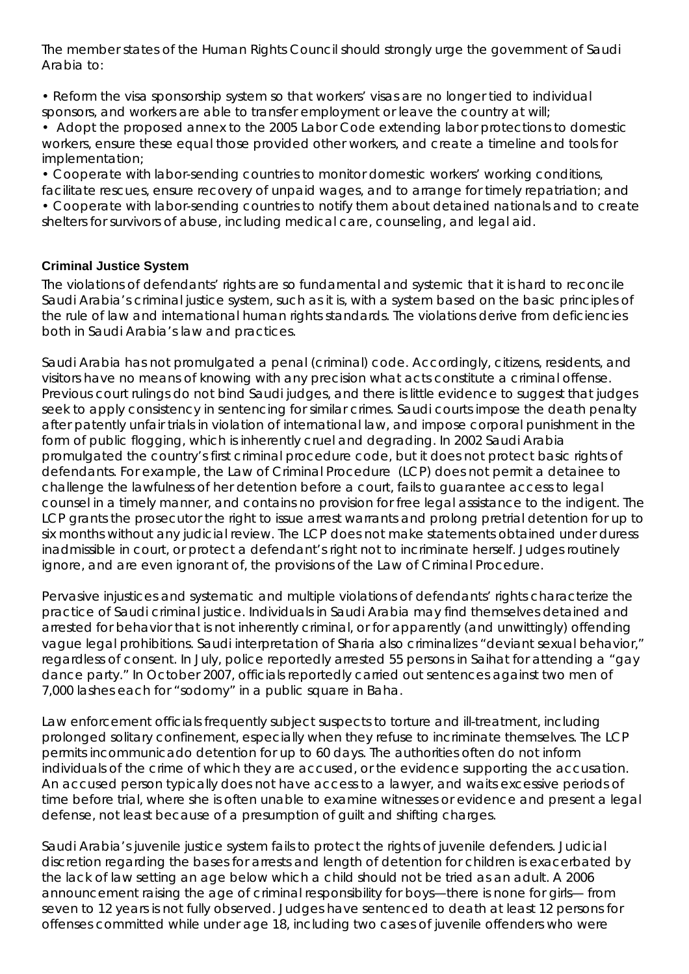The member states of the Human Rights Council should strongly urge the government of Saudi Arabia to:

• Reform the visa sponsorship system so that workers' visas are no longer tied to individual sponsors, and workers are able to transfer employment or leave the country at will;

• Adopt the proposed annex to the 2005 Labor Code extending labor protections to domestic workers, ensure these equal those provided other workers, and create a timeline and tools for implementation;

• Cooperate with labor-sending countries to monitor domestic workers' working conditions, facilitate rescues, ensure recovery of unpaid wages, and to arrange for timely repatriation; and

• Cooperate with labor-sending countries to notify them about detained nationals and to create shelters for survivors of abuse, including medical care, counseling, and legal aid.

# **Criminal Justice System**

The violations of defendants' rights are so fundamental and systemic that it is hard to reconcile Saudi Arabia's criminal justice system, such as it is, with a system based on the basic principles of the rule of law and international human rights standards. The violations derive from deficiencies both in Saudi Arabia's law and practices.

Saudi Arabia has not promulgated a penal (criminal) code. Accordingly, citizens, residents, and visitors have no means of knowing with any precision what acts constitute a criminal offense. Previous court rulings do not bind Saudi judges, and there is little evidence to suggest that judges seek to apply consistency in sentencing for similar crimes. Saudi courts impose the death penalty after patently unfair trials in violation of international law, and impose corporal punishment in the form of public flogging, which is inherently cruel and degrading. In 2002 Saudi Arabia promulgated the country's first criminal procedure code, but it does not protect basic rights of defendants. For example, the Law of Criminal Procedure (LCP) does not permit a detainee to challenge the lawfulness of her detention before a court, fails to guarantee access to legal counsel in a timely manner, and contains no provision for free legal assistance to the indigent. The LCP grants the prosecutor the right to issue arrest warrants and prolong pretrial detention for up to six months without any judicial review. The LCP does not make statements obtained under duress inadmissible in court, or protect a defendant's right not to incriminate herself. Judges routinely ignore, and are even ignorant of, the provisions of the Law of Criminal Procedure.

Pervasive injustices and systematic and multiple violations of defendants' rights characterize the practice of Saudi criminal justice. Individuals in Saudi Arabia may find themselves detained and arrested for behavior that is not inherently criminal, or for apparently (and unwittingly) offending vague legal prohibitions. Saudi interpretation of Sharia also criminalizes "deviant sexual behavior," regardless of consent. In July, police reportedly arrested 55 persons in Saihat for attending a "gay dance party." In October 2007, officials reportedly carried out sentences against two men of 7,000 lashes each for "sodomy" in a public square in Baha.

Law enforcement officials frequently subject suspects to torture and ill-treatment, including prolonged solitary confinement, especially when they refuse to incriminate themselves. The LCP permits incommunicado detention for up to 60 days. The authorities often do not inform individuals of the crime of which they are accused, or the evidence supporting the accusation. An accused person typically does not have access to a lawyer, and waits excessive periods of time before trial, where she is often unable to examine witnesses or evidence and present a legal defense, not least because of a presumption of guilt and shifting charges.

Saudi Arabia's juvenile justice system fails to protect the rights of juvenile defenders. Judicial discretion regarding the bases for arrests and length of detention for children is exacerbated by the lack of law setting an age below which a child should not be tried as an adult. A 2006 announcement raising the age of criminal responsibility for boys—there is none for girls— from seven to 12 years is not fully observed. Judges have sentenced to death at least 12 persons for offenses committed while under age 18, including two cases of juvenile offenders who were